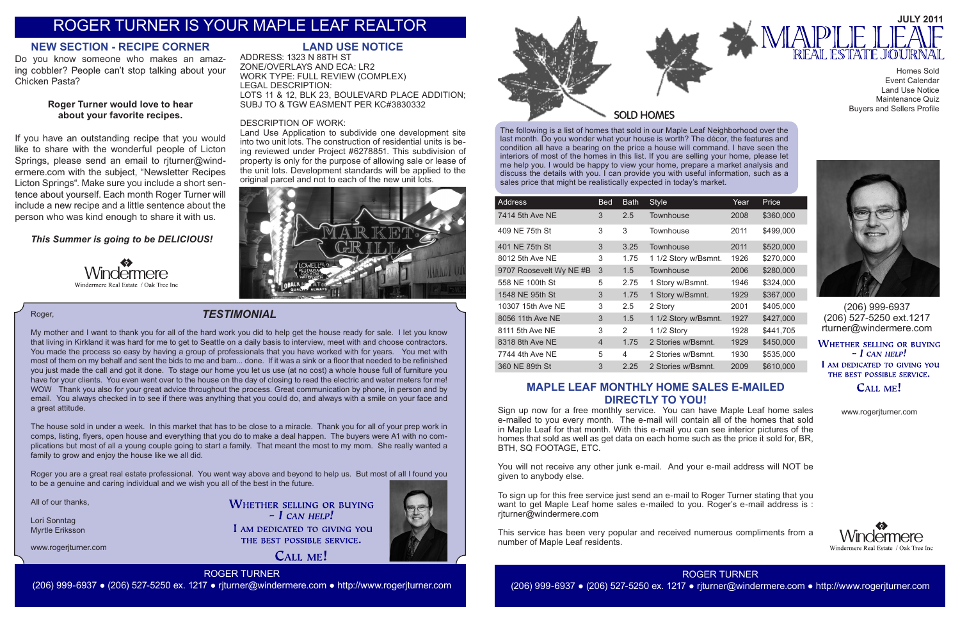The following is a list of homes that sold in our Maple Leaf Neighborhood over the last month. Do you wonder what your house is worth? The décor, the features and condition all have a bearing on the price a house will command. I have seen the interiors of most of the homes in this list. If you are selling your home, please let me help you. I would be happy to view your home, prepare a market analysis and discuss the details with you. I can provide you with useful information, such as a sales price that might be realistically expected in today's market.



| <b>Address</b>          | <b>Bed</b>     | <b>Bath</b> | <b>Style</b>         | Year | Price     |
|-------------------------|----------------|-------------|----------------------|------|-----------|
| 7414 5th Ave NE         | 3              | 2.5         | Townhouse            | 2008 | \$360,000 |
| 409 NE 75th St          | 3              | 3           | Townhouse            | 2011 | \$499,000 |
| 401 NE 75th St          | 3              | 3.25        | Townhouse            | 2011 | \$520,000 |
| 8012 5th Ave NE         | 3              | 1.75        | 1 1/2 Story w/Bsmnt. | 1926 | \$270,000 |
| 9707 Roosevelt Wy NE #B | 3              | 1.5         | Townhouse            | 2006 | \$280,000 |
| 558 NE 100th St         | 5              | 2.75        | 1 Story w/Bsmnt.     | 1946 | \$324,000 |
| 1548 NE 95th St         | 3              | 1.75        | 1 Story w/Bsmnt.     | 1929 | \$367,000 |
| 10307 15th Ave NE       | 3              | $2.5\,$     | 2 Story              | 2001 | \$405,000 |
| 8056 11th Ave NE        | 3              | 1.5         | 1 1/2 Story w/Bsmnt. | 1927 | \$427,000 |
| 8111 5th Ave NE         | 3              | 2           | 1 1/2 Story          | 1928 | \$441,705 |
| 8318 8th Ave NE         | $\overline{4}$ | 1.75        | 2 Stories w/Bsmnt.   | 1929 | \$450,000 |
| 7744 4th Ave NE         | 5              | 4           | 2 Stories w/Bsmnt.   | 1930 | \$535,000 |
| 360 NE 89th St          | 3              | 2.25        | 2 Stories w/Bsmnt.   | 2009 | \$610,000 |

(206) 999-6937 (206) 527-5250 ext.1217 rturner@windermere.com

**WHETHER SELLING OR BUYING**  $-I$  CAN HELP! I AM DEDICATED TO GIVING YOU THE BEST POSSIBLE SERVICE.

### CALL ME!

### *TESTIMONIAL*

www.rogerjturner.com

**WHETHER SELLING OR BUYING**  $-$  *L* CAN HELP! I AM DEDICATED TO GIVING YOU THE BEST POSSIBLE SERVICE.

CALL ME!





www.rogerjturner.com



ROGER TURNER (206) 999-6937 ● (206) 527-5250 ex. 1217 ● rjturner@windermere.com ● http://www.rogerjturner.com

Homes Sold Event Calendar Land Use Notice Maintenance Quiz Buyers and Sellers Profile



#### Roger,

My mother and I want to thank you for all of the hard work you did to help get the house ready for sale. I let you know that living in Kirkland it was hard for me to get to Seattle on a daily basis to interview, meet with and choose contractors. You made the process so easy by having a group of professionals that you have worked with for years. You met with most of them on my behalf and sent the bids to me and bam... done. If it was a sink or a floor that needed to be refinished you just made the call and got it done. To stage our home you let us use (at no cost) a whole house full of furniture you have for your clients. You even went over to the house on the day of closing to read the electric and water meters for me! WOW Thank you also for your great advice throughout the process. Great communication by phone, in person and by email. You always checked in to see if there was anything that you could do, and always with a smile on your face and a great attitude.

The house sold in under a week. In this market that has to be close to a miracle. Thank you for all of your prep work in comps, listing, flyers, open house and everything that you do to make a deal happen. The buyers were A1 with no complications but most of all a young couple going to start a family. That meant the most to my mom. She really wanted a family to grow and enjoy the house like we all did.

Roger you are a great real estate professional. You went way above and beyond to help us. But most of all I found you to be a genuine and caring individual and we wish you all of the best in the future.

All of our thanks,

Lori Sonntag Myrtle Eriksson

# ROGER TURNER IS YOUR MAPLE LEAF REALTOR

### **MAPLE LEAF MONTHLY HOME SALES E-MAILED DIRECTLY TO YOU!**

Sign up now for a free monthly service. You can have Maple Leaf home sales e-mailed to you every month. The e-mail will contain all of the homes that sold in Maple Leaf for that month. With this e-mail you can see interior pictures of the homes that sold as well as get data on each home such as the price it sold for, BR, BTH, SQ FOOTAGE, ETC.

You will not receive any other junk e-mail. And your e-mail address will NOT be given to anybody else.

To sign up for this free service just send an e-mail to Roger Turner stating that you want to get Maple Leaf home sales e-mailed to you. Roger's e-mail address is : rjturner@windermere.com

This service has been very popular and received numerous compliments from a number of Maple Leaf residents.

### **LAND USE NOTICE**

ADDRESS: 1323 N 88TH ST ZONE/OVERLAYS AND ECA: LR2 WORK TYPE: FULL REVIEW (COMPLEX) LEGAL DESCRIPTION: LOTS 11 & 12, BLK 23, BOULEVARD PLACE ADDITION; SUBJ TO & TGW EASMENT PER KC#3830332

### DESCRIPTION OF WORK:

Land Use Application to subdivide one development site into two unit lots. The construction of residential units is being reviewed under Project #6278851. This subdivision of property is only for the purpose of allowing sale or lease of the unit lots. Development standards will be applied to the original parcel and not to each of the new unit lots.



### **NEW SECTION - RECIPE CORNER**

Do you know someone who makes an amazing cobbler? People can't stop talking about your Chicken Pasta?

### **Roger Turner would love to hear about your favorite recipes.**

If you have an outstanding recipe that you would like to share with the wonderful people of Licton Springs, please send an email to rjturner@windermere.com with the subject, "Newsletter Recipes Licton Springs". Make sure you include a short sentence about yourself. Each month Roger Turner will include a new recipe and a little sentence about the person who was kind enough to share it with us.

### *This Summer is going to be DELICIOUS!*